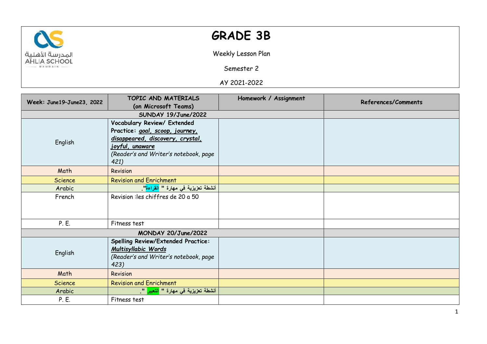

## **GRADE 3B**

Weekly Lesson Plan

Semester 2

AY 2021-2022

|                           | TOPIC AND MATERIALS                              | Homework / Assignment | References/Comments |
|---------------------------|--------------------------------------------------|-----------------------|---------------------|
| Week: June19-June23, 2022 | (on Microsoft Teams)                             |                       |                     |
|                           | SUNDAY 19/June/2022                              |                       |                     |
|                           | Vocabulary Review/ Extended                      |                       |                     |
|                           | Practice: goal, scoop, journey,                  |                       |                     |
| English                   | disappeared, discovery, crystal,                 |                       |                     |
|                           | joyful, unaware                                  |                       |                     |
|                           | (Reader's and Writer's notebook, page            |                       |                     |
|                           | 421)                                             |                       |                     |
| Math                      | Revision                                         |                       |                     |
| <b>Science</b>            | <b>Revision and Enrichment</b>                   |                       |                     |
| Arabic                    | أنشطة تعزيزية في مهارة " <mark>القراءة</mark> ". |                       |                     |
| French                    | Revision : les chiffres de 20 a 50               |                       |                     |
|                           |                                                  |                       |                     |
|                           |                                                  |                       |                     |
| P. E.                     | Fitness test                                     |                       |                     |
| MONDAY 20/June/2022       |                                                  |                       |                     |
|                           | <b>Spelling Review/Extended Practice:</b>        |                       |                     |
| English                   | Multisyllabic Words                              |                       |                     |
|                           | (Reader's and Writer's notebook, page            |                       |                     |
|                           | 423)                                             |                       |                     |
| Math                      | Revision                                         |                       |                     |
| <b>Science</b>            | <b>Revision and Enrichment</b>                   |                       |                     |
| Arabic                    | أنشطة تعزيزية في مهارة " <mark>التعبير</mark> ". |                       |                     |
| P. E.                     | Fitness test                                     |                       |                     |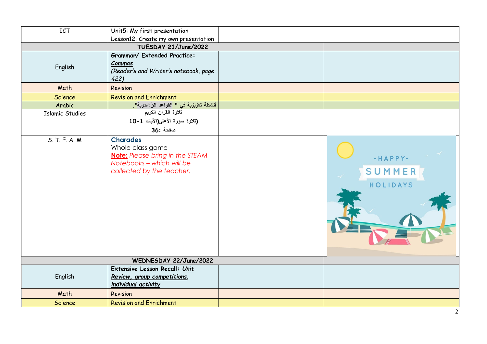| ICT                    | Unit5: My first presentation                                                                                                            |                               |
|------------------------|-----------------------------------------------------------------------------------------------------------------------------------------|-------------------------------|
|                        | Lesson12: Create my own presentation                                                                                                    |                               |
|                        | TUESDAY 21/June/2022                                                                                                                    |                               |
| English                | <b>Grammar/ Extended Practice:</b><br>Commas<br>(Reader's and Writer's notebook, page<br>422)                                           |                               |
| Math                   | Revision                                                                                                                                |                               |
| <b>Science</b>         | <b>Revision and Enrichment</b>                                                                                                          |                               |
| Arabic                 | أنشطة تعزيزية في " القواعد النَّ َحوية".                                                                                                |                               |
| <b>Islamic Studies</b> | تلاوة القرآن الكريم<br>(تلاوة سورة الأعلى(الآيات 1-10<br>صفحة :36                                                                       |                               |
| S. T. E. A. M.         | <b>Charades</b><br>Whole class game<br><b>Note:</b> Please bring in the STEAM<br>Notebooks - which will be<br>collected by the teacher. | -HAPPY-<br>SUMMER<br>HOLIDAYS |
|                        | WEDNESDAY 22/June/2022                                                                                                                  |                               |
| English                | Extensive Lesson Recall: Unit<br>Review, group competitions,<br>individual activity                                                     |                               |
| Math                   | Revision                                                                                                                                |                               |
| <b>Science</b>         | <b>Revision and Enrichment</b>                                                                                                          |                               |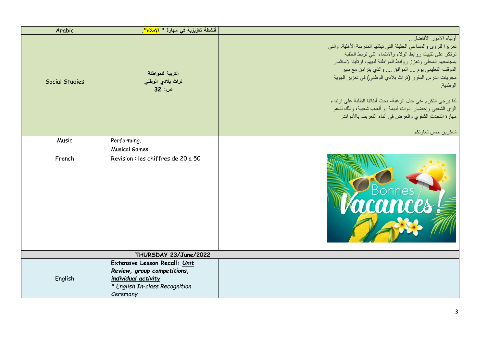| Arabic                | أنشطة تعزيزية في مهارة " <mark>الإملاء"</mark>                                                                                    |                                                                                                                                                                                                                                                                                                                                                                                                                                                                                                                                                             |
|-----------------------|-----------------------------------------------------------------------------------------------------------------------------------|-------------------------------------------------------------------------------------------------------------------------------------------------------------------------------------------------------------------------------------------------------------------------------------------------------------------------------------------------------------------------------------------------------------------------------------------------------------------------------------------------------------------------------------------------------------|
| <b>Social Studies</b> | التربية للمواطنة<br>تراث بلادي الوطني<br>ص: 32                                                                                    | أولياء الأمور الأفاضل<br>تعزيزا للرؤى والمساعى الحثيثة التي تبذلها المدرسة الأهلية، والتي<br>ترتكز على تثبيت روابط الولاء والانتماء التي تربط الطلبة<br>بمجتمعهم المحلي وتعزز روابط المواطنة لديهم، ارتأينا لاستثمار<br>الموقف التعليمي يوم  الموافق  والذي يتزامن مع سير<br>مجريات الدرس المقرر (تراث بلادي الوطني) في تعزيز الهوية<br>الوطنية<br>لذا يرجى التكرم -في حال الرغبة- بحث أبنائنا الطلبة على ارتداء<br>الزي الشعبي وإحضار أدوات قديمة أو ألعاب شعبية، وذلك لدعم<br>مهارة التحدث الشفوي والعرض في أثناء التعريف بالأدوات.<br>شاكرين حسن تعاونكم |
| Music                 | Performing.<br><b>Musical Games</b>                                                                                               |                                                                                                                                                                                                                                                                                                                                                                                                                                                                                                                                                             |
| French                | Revision : les chiffres de 20 a 50                                                                                                | mces                                                                                                                                                                                                                                                                                                                                                                                                                                                                                                                                                        |
|                       | THURSDAY 23/June/2022                                                                                                             |                                                                                                                                                                                                                                                                                                                                                                                                                                                                                                                                                             |
| English               | Extensive Lesson Recall: Unit<br>Review, group competitions,<br>individual activity<br>* English In-class Recognition<br>Ceremony |                                                                                                                                                                                                                                                                                                                                                                                                                                                                                                                                                             |